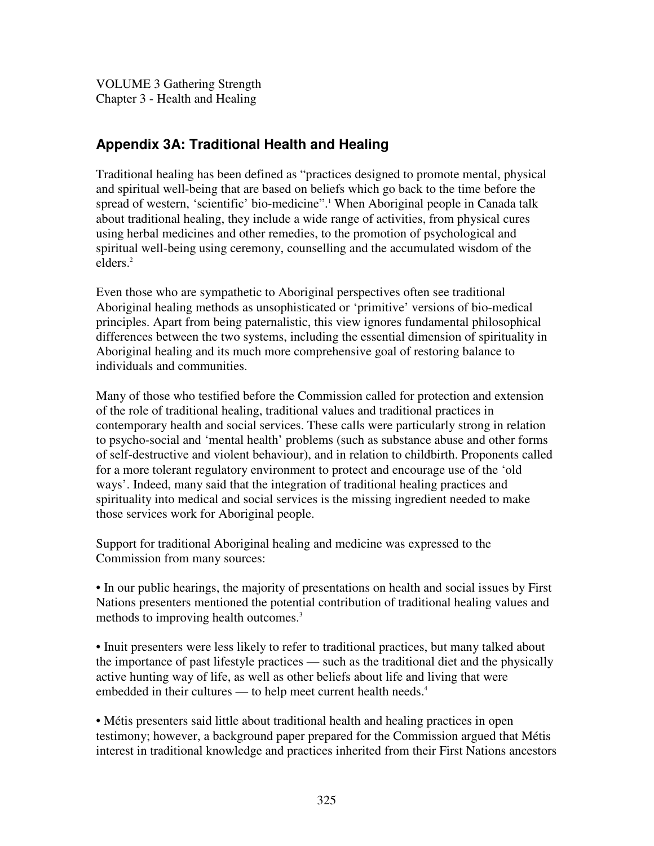VOLUME 3 Gathering Strength Chapter 3 - Health and Healing

# **Appendix 3A: Traditional Health and Healing**

Traditional healing has been defined as "practices designed to promote mental, physical and spiritual well-being that are based on beliefs which go back to the time before the spread of western, 'scientific' bio-medicine". <sup>1</sup> When Aboriginal people in Canada talk about traditional healing, they include a wide range of activities, from physical cures using herbal medicines and other remedies, to the promotion of psychological and spiritual well-being using ceremony, counselling and the accumulated wisdom of the elders. 2

Even those who are sympathetic to Aboriginal perspectives often see traditional Aboriginal healing methods as unsophisticated or 'primitive' versions of bio-medical principles. Apart from being paternalistic, this view ignores fundamental philosophical differences between the two systems, including the essential dimension of spirituality in Aboriginal healing and its much more comprehensive goal of restoring balance to individuals and communities.

Many of those who testified before the Commission called for protection and extension of the role of traditional healing, traditional values and traditional practices in contemporary health and social services. These calls were particularly strong in relation to psycho-social and 'mental health' problems (such as substance abuse and other forms of self-destructive and violent behaviour), and in relation to childbirth. Proponents called for a more tolerant regulatory environment to protect and encourage use of the 'old ways'. Indeed, many said that the integration of traditional healing practices and spirituality into medical and social services is the missing ingredient needed to make those services work for Aboriginal people.

Support for traditional Aboriginal healing and medicine was expressed to the Commission from many sources:

• In our public hearings, the majority of presentations on health and social issues by First Nations presenters mentioned the potential contribution of traditional healing values and methods to improving health outcomes. 3

• Inuit presenters were less likely to refer to traditional practices, but many talked about the importance of past lifestyle practices — such as the traditional diet and the physically active hunting way of life, as well as other beliefs about life and living that were embedded in their cultures — to help meet current health needs.<sup>4</sup>

• Métis presenters said little about traditional health and healing practices in open testimony; however, a background paper prepared for the Commission argued that Métis interest in traditional knowledge and practices inherited from their First Nations ancestors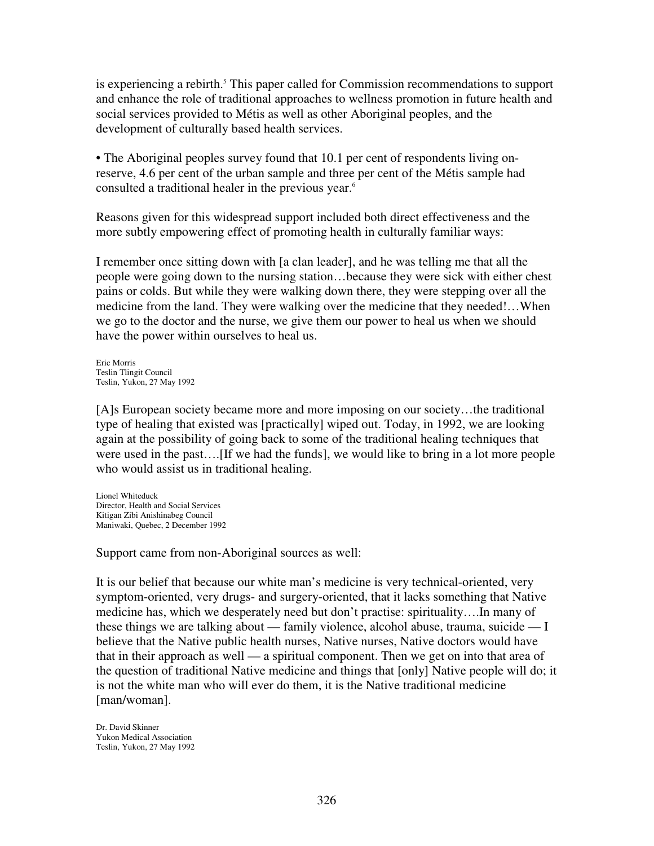is experiencing a rebirth. <sup>5</sup> This paper called for Commission recommendations to support and enhance the role of traditional approaches to wellness promotion in future health and social services provided to Métis as well as other Aboriginal peoples, and the development of culturally based health services.

• The Aboriginal peoples survey found that 10.1 per cent of respondents living onreserve, 4.6 per cent of the urban sample and three per cent of the Métis sample had consulted a traditional healer in the previous year. 6

Reasons given for this widespread support included both direct effectiveness and the more subtly empowering effect of promoting health in culturally familiar ways:

I remember once sitting down with [a clan leader], and he was telling me that all the people were going down to the nursing station…because they were sick with either chest pains or colds. But while they were walking down there, they were stepping over all the medicine from the land. They were walking over the medicine that they needed!…When we go to the doctor and the nurse, we give them our power to heal us when we should have the power within ourselves to heal us.

Eric Morris Teslin Tlingit Council Teslin, Yukon, 27 May 1992

[A]s European society became more and more imposing on our society…the traditional type of healing that existed was [practically] wiped out. Today, in 1992, we are looking again at the possibility of going back to some of the traditional healing techniques that were used in the past….[If we had the funds], we would like to bring in a lot more people who would assist us in traditional healing.

Lionel Whiteduck Director, Health and Social Services Kitigan Zibi Anishinabeg Council Maniwaki, Quebec, 2 December 1992

Support came from non-Aboriginal sources as well:

It is our belief that because our white man's medicine is very technical-oriented, very symptom-oriented, very drugs- and surgery-oriented, that it lacks something that Native medicine has, which we desperately need but don't practise: spirituality….In many of these things we are talking about — family violence, alcohol abuse, trauma, suicide — I believe that the Native public health nurses, Native nurses, Native doctors would have that in their approach as well — a spiritual component. Then we get on into that area of the question of traditional Native medicine and things that [only] Native people will do; it is not the white man who will ever do them, it is the Native traditional medicine [man/woman].

Dr. David Skinner Yukon Medical Association Teslin, Yukon, 27 May 1992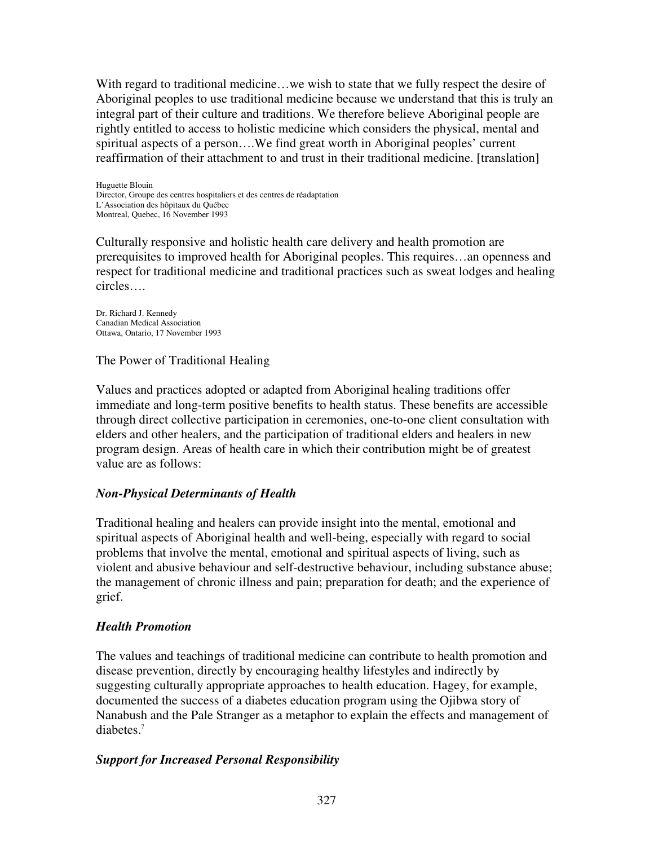With regard to traditional medicine...we wish to state that we fully respect the desire of Aboriginal peoples to use traditional medicine because we understand that this is truly an integral part of their culture and traditions. We therefore believe Aboriginal people are rightly entitled to access to holistic medicine which considers the physical, mental and spiritual aspects of a person….We find great worth in Aboriginal peoples' current reaffirmation of their attachment to and trust in their traditional medicine. [translation]

Huguette Blouin Director, Groupe des centres hospitaliers et des centres de réadaptation L'Association des hôpitaux du Québec Montreal, Quebec, 16 November 1993

Culturally responsive and holistic health care delivery and health promotion are prerequisites to improved health for Aboriginal peoples. This requires…an openness and respect for traditional medicine and traditional practices such as sweat lodges and healing circles….

Dr. Richard J. Kennedy Canadian Medical Association Ottawa, Ontario, 17 November 1993

The Power of Traditional Healing

Values and practices adopted or adapted from Aboriginal healing traditions offer immediate and long-term positive benefits to health status. These benefits are accessible through direct collective participation in ceremonies, one-to-one client consultation with elders and other healers, and the participation of traditional elders and healers in new program design. Areas of health care in which their contribution might be of greatest value are as follows:

## *Non-Physical Determinants of Health*

Traditional healing and healers can provide insight into the mental, emotional and spiritual aspects of Aboriginal health and well-being, especially with regard to social problems that involve the mental, emotional and spiritual aspects of living, such as violent and abusive behaviour and self-destructive behaviour, including substance abuse; the management of chronic illness and pain; preparation for death; and the experience of grief.

## *Health Promotion*

The values and teachings of traditional medicine can contribute to health promotion and disease prevention, directly by encouraging healthy lifestyles and indirectly by suggesting culturally appropriate approaches to health education. Hagey, for example, documented the success of a diabetes education program using the Ojibwa story of Nanabush and the Pale Stranger as a metaphor to explain the effects and management of diabetes. 7

## *Support for Increased Personal Responsibility*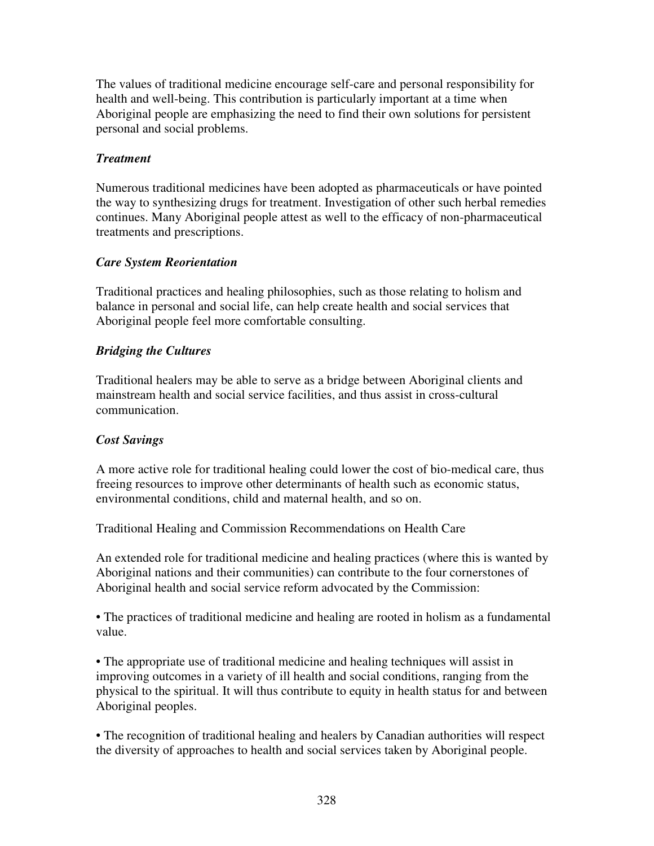The values of traditional medicine encourage self-care and personal responsibility for health and well-being. This contribution is particularly important at a time when Aboriginal people are emphasizing the need to find their own solutions for persistent personal and social problems.

## *Treatment*

Numerous traditional medicines have been adopted as pharmaceuticals or have pointed the way to synthesizing drugs for treatment. Investigation of other such herbal remedies continues. Many Aboriginal people attest as well to the efficacy of non-pharmaceutical treatments and prescriptions.

## *Care System Reorientation*

Traditional practices and healing philosophies, such as those relating to holism and balance in personal and social life, can help create health and social services that Aboriginal people feel more comfortable consulting.

## *Bridging the Cultures*

Traditional healers may be able to serve as a bridge between Aboriginal clients and mainstream health and social service facilities, and thus assist in cross-cultural communication.

## *Cost Savings*

A more active role for traditional healing could lower the cost of bio-medical care, thus freeing resources to improve other determinants of health such as economic status, environmental conditions, child and maternal health, and so on.

Traditional Healing and Commission Recommendations on Health Care

An extended role for traditional medicine and healing practices (where this is wanted by Aboriginal nations and their communities) can contribute to the four cornerstones of Aboriginal health and social service reform advocated by the Commission:

• The practices of traditional medicine and healing are rooted in holism as a fundamental value.

• The appropriate use of traditional medicine and healing techniques will assist in improving outcomes in a variety of ill health and social conditions, ranging from the physical to the spiritual. It will thus contribute to equity in health status for and between Aboriginal peoples.

• The recognition of traditional healing and healers by Canadian authorities will respect the diversity of approaches to health and social services taken by Aboriginal people.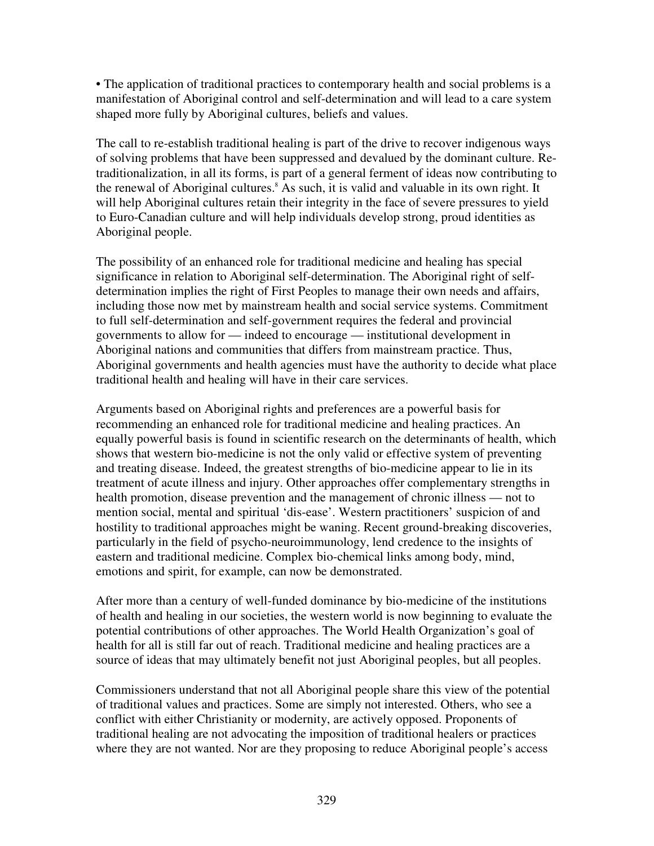• The application of traditional practices to contemporary health and social problems is a manifestation of Aboriginal control and self-determination and will lead to a care system shaped more fully by Aboriginal cultures, beliefs and values.

The call to re-establish traditional healing is part of the drive to recover indigenous ways of solving problems that have been suppressed and devalued by the dominant culture. Retraditionalization, in all its forms, is part of a general ferment of ideas now contributing to the renewal of Aboriginal cultures. <sup>8</sup> As such, it is valid and valuable in its own right. It will help Aboriginal cultures retain their integrity in the face of severe pressures to yield to Euro-Canadian culture and will help individuals develop strong, proud identities as Aboriginal people.

The possibility of an enhanced role for traditional medicine and healing has special significance in relation to Aboriginal self-determination. The Aboriginal right of selfdetermination implies the right of First Peoples to manage their own needs and affairs, including those now met by mainstream health and social service systems. Commitment to full self-determination and self-government requires the federal and provincial governments to allow for — indeed to encourage — institutional development in Aboriginal nations and communities that differs from mainstream practice. Thus, Aboriginal governments and health agencies must have the authority to decide what place traditional health and healing will have in their care services.

Arguments based on Aboriginal rights and preferences are a powerful basis for recommending an enhanced role for traditional medicine and healing practices. An equally powerful basis is found in scientific research on the determinants of health, which shows that western bio-medicine is not the only valid or effective system of preventing and treating disease. Indeed, the greatest strengths of bio-medicine appear to lie in its treatment of acute illness and injury. Other approaches offer complementary strengths in health promotion, disease prevention and the management of chronic illness — not to mention social, mental and spiritual 'dis-ease'. Western practitioners' suspicion of and hostility to traditional approaches might be waning. Recent ground-breaking discoveries, particularly in the field of psycho-neuroimmunology, lend credence to the insights of eastern and traditional medicine. Complex bio-chemical links among body, mind, emotions and spirit, for example, can now be demonstrated.

After more than a century of well-funded dominance by bio-medicine of the institutions of health and healing in our societies, the western world is now beginning to evaluate the potential contributions of other approaches. The World Health Organization's goal of health for all is still far out of reach. Traditional medicine and healing practices are a source of ideas that may ultimately benefit not just Aboriginal peoples, but all peoples.

Commissioners understand that not all Aboriginal people share this view of the potential of traditional values and practices. Some are simply not interested. Others, who see a conflict with either Christianity or modernity, are actively opposed. Proponents of traditional healing are not advocating the imposition of traditional healers or practices where they are not wanted. Nor are they proposing to reduce Aboriginal people's access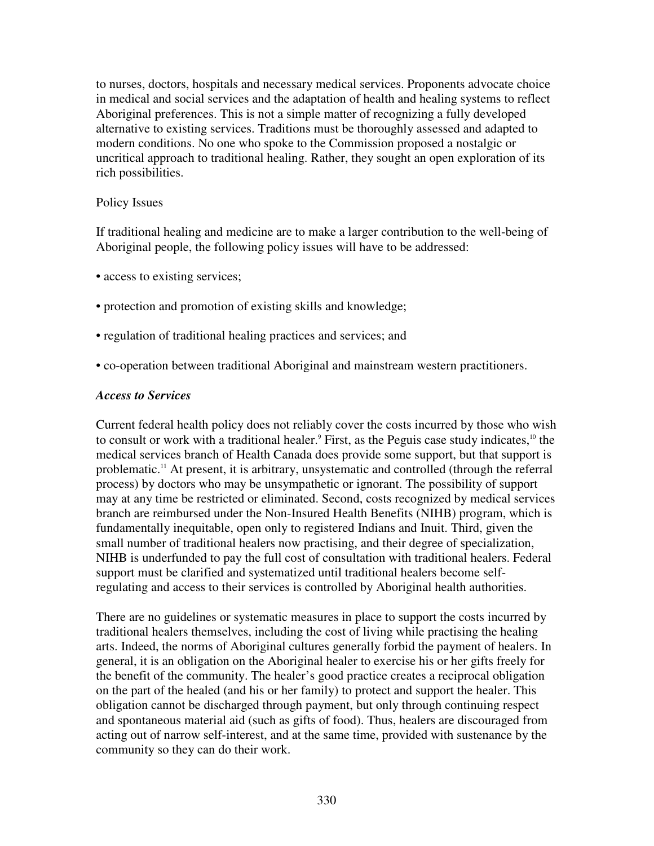to nurses, doctors, hospitals and necessary medical services. Proponents advocate choice in medical and social services and the adaptation of health and healing systems to reflect Aboriginal preferences. This is not a simple matter of recognizing a fully developed alternative to existing services. Traditions must be thoroughly assessed and adapted to modern conditions. No one who spoke to the Commission proposed a nostalgic or uncritical approach to traditional healing. Rather, they sought an open exploration of its rich possibilities.

#### Policy Issues

If traditional healing and medicine are to make a larger contribution to the well-being of Aboriginal people, the following policy issues will have to be addressed:

- access to existing services;
- protection and promotion of existing skills and knowledge;
- regulation of traditional healing practices and services; and
- co-operation between traditional Aboriginal and mainstream western practitioners.

#### *Access to Services*

Current federal health policy does not reliably cover the costs incurred by those who wish to consult or work with a traditional healer.<sup>9</sup> First, as the Peguis case study indicates,<sup>10</sup> the medical services branch of Health Canada does provide some support, but that support is problematic. <sup>11</sup> At present, it is arbitrary, unsystematic and controlled (through the referral process) by doctors who may be unsympathetic or ignorant. The possibility of support may at any time be restricted or eliminated. Second, costs recognized by medical services branch are reimbursed under the Non-Insured Health Benefits (NIHB) program, which is fundamentally inequitable, open only to registered Indians and Inuit. Third, given the small number of traditional healers now practising, and their degree of specialization, NIHB is underfunded to pay the full cost of consultation with traditional healers. Federal support must be clarified and systematized until traditional healers become selfregulating and access to their services is controlled by Aboriginal health authorities.

There are no guidelines or systematic measures in place to support the costs incurred by traditional healers themselves, including the cost of living while practising the healing arts. Indeed, the norms of Aboriginal cultures generally forbid the payment of healers. In general, it is an obligation on the Aboriginal healer to exercise his or her gifts freely for the benefit of the community. The healer's good practice creates a reciprocal obligation on the part of the healed (and his or her family) to protect and support the healer. This obligation cannot be discharged through payment, but only through continuing respect and spontaneous material aid (such as gifts of food). Thus, healers are discouraged from acting out of narrow self-interest, and at the same time, provided with sustenance by the community so they can do their work.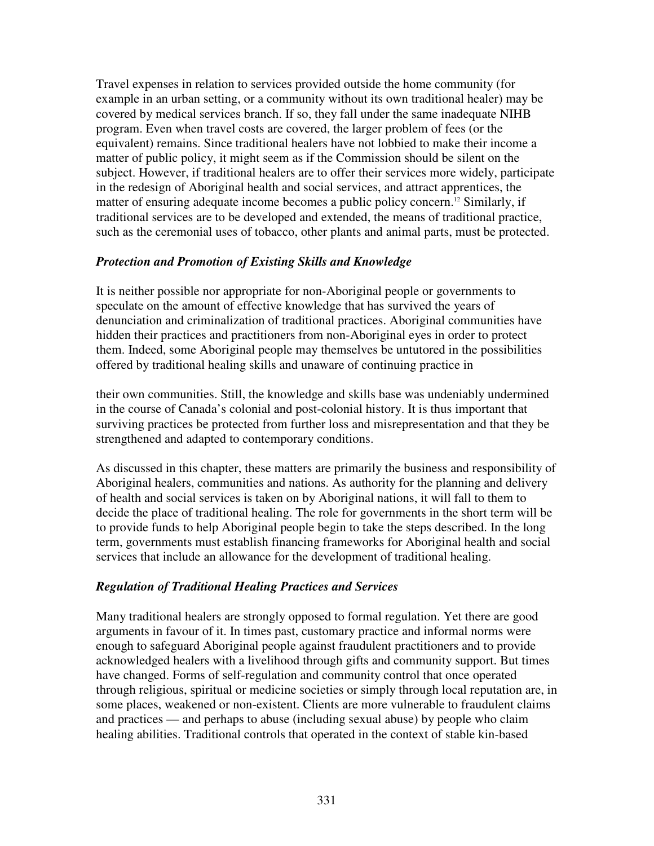Travel expenses in relation to services provided outside the home community (for example in an urban setting, or a community without its own traditional healer) may be covered by medical services branch. If so, they fall under the same inadequate NIHB program. Even when travel costs are covered, the larger problem of fees (or the equivalent) remains. Since traditional healers have not lobbied to make their income a matter of public policy, it might seem as if the Commission should be silent on the subject. However, if traditional healers are to offer their services more widely, participate in the redesign of Aboriginal health and social services, and attract apprentices, the matter of ensuring adequate income becomes a public policy concern. <sup>12</sup> Similarly, if traditional services are to be developed and extended, the means of traditional practice, such as the ceremonial uses of tobacco, other plants and animal parts, must be protected.

#### *Protection and Promotion of Existing Skills and Knowledge*

It is neither possible nor appropriate for non-Aboriginal people or governments to speculate on the amount of effective knowledge that has survived the years of denunciation and criminalization of traditional practices. Aboriginal communities have hidden their practices and practitioners from non-Aboriginal eyes in order to protect them. Indeed, some Aboriginal people may themselves be untutored in the possibilities offered by traditional healing skills and unaware of continuing practice in

their own communities. Still, the knowledge and skills base was undeniably undermined in the course of Canada's colonial and post-colonial history. It is thus important that surviving practices be protected from further loss and misrepresentation and that they be strengthened and adapted to contemporary conditions.

As discussed in this chapter, these matters are primarily the business and responsibility of Aboriginal healers, communities and nations. As authority for the planning and delivery of health and social services is taken on by Aboriginal nations, it will fall to them to decide the place of traditional healing. The role for governments in the short term will be to provide funds to help Aboriginal people begin to take the steps described. In the long term, governments must establish financing frameworks for Aboriginal health and social services that include an allowance for the development of traditional healing.

## *Regulation of Traditional Healing Practices and Services*

Many traditional healers are strongly opposed to formal regulation. Yet there are good arguments in favour of it. In times past, customary practice and informal norms were enough to safeguard Aboriginal people against fraudulent practitioners and to provide acknowledged healers with a livelihood through gifts and community support. But times have changed. Forms of self-regulation and community control that once operated through religious, spiritual or medicine societies or simply through local reputation are, in some places, weakened or non-existent. Clients are more vulnerable to fraudulent claims and practices — and perhaps to abuse (including sexual abuse) by people who claim healing abilities. Traditional controls that operated in the context of stable kin-based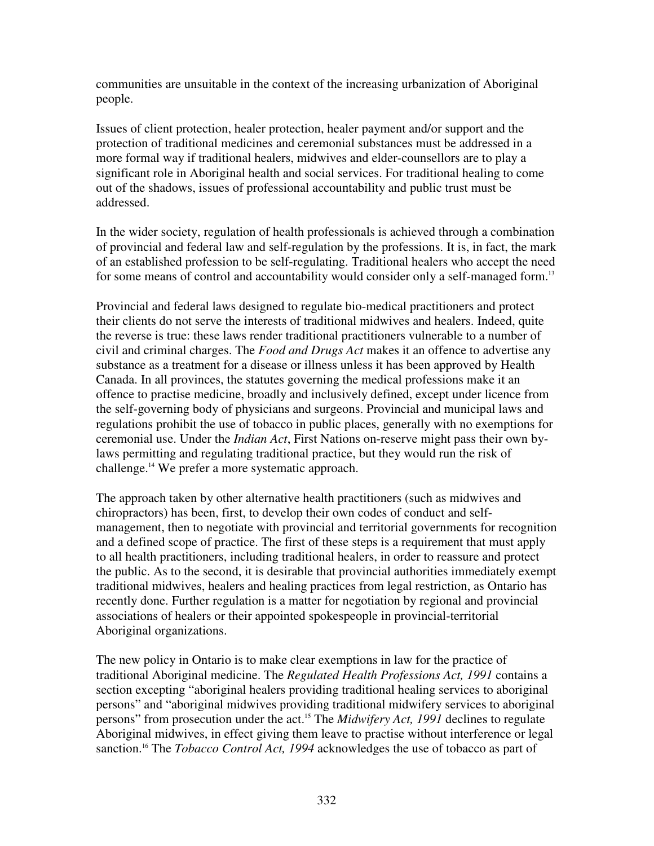communities are unsuitable in the context of the increasing urbanization of Aboriginal people.

Issues of client protection, healer protection, healer payment and/or support and the protection of traditional medicines and ceremonial substances must be addressed in a more formal way if traditional healers, midwives and elder-counsellors are to play a significant role in Aboriginal health and social services. For traditional healing to come out of the shadows, issues of professional accountability and public trust must be addressed.

In the wider society, regulation of health professionals is achieved through a combination of provincial and federal law and self-regulation by the professions. It is, in fact, the mark of an established profession to be self-regulating. Traditional healers who accept the need for some means of control and accountability would consider only a self-managed form.<sup>13</sup>

Provincial and federal laws designed to regulate bio-medical practitioners and protect their clients do not serve the interests of traditional midwives and healers. Indeed, quite the reverse is true: these laws render traditional practitioners vulnerable to a number of civil and criminal charges. The *Food and Drugs Act* makes it an offence to advertise any substance as a treatment for a disease or illness unless it has been approved by Health Canada. In all provinces, the statutes governing the medical professions make it an offence to practise medicine, broadly and inclusively defined, except under licence from the self-governing body of physicians and surgeons. Provincial and municipal laws and regulations prohibit the use of tobacco in public places, generally with no exemptions for ceremonial use. Under the *Indian Act*, First Nations on-reserve might pass their own bylaws permitting and regulating traditional practice, but they would run the risk of challenge. <sup>14</sup> We prefer a more systematic approach.

The approach taken by other alternative health practitioners (such as midwives and chiropractors) has been, first, to develop their own codes of conduct and selfmanagement, then to negotiate with provincial and territorial governments for recognition and a defined scope of practice. The first of these steps is a requirement that must apply to all health practitioners, including traditional healers, in order to reassure and protect the public. As to the second, it is desirable that provincial authorities immediately exempt traditional midwives, healers and healing practices from legal restriction, as Ontario has recently done. Further regulation is a matter for negotiation by regional and provincial associations of healers or their appointed spokespeople in provincial-territorial Aboriginal organizations.

The new policy in Ontario is to make clear exemptions in law for the practice of traditional Aboriginal medicine. The *Regulated Health Professions Act, 1991* contains a section excepting "aboriginal healers providing traditional healing services to aboriginal persons" and "aboriginal midwives providing traditional midwifery services to aboriginal persons" from prosecution under the act. <sup>15</sup> The *Midwifery Act, 1991* declines to regulate Aboriginal midwives, in effect giving them leave to practise without interference or legal sanction. <sup>16</sup> The *Tobacco Control Act, 1994* acknowledges the use of tobacco as part of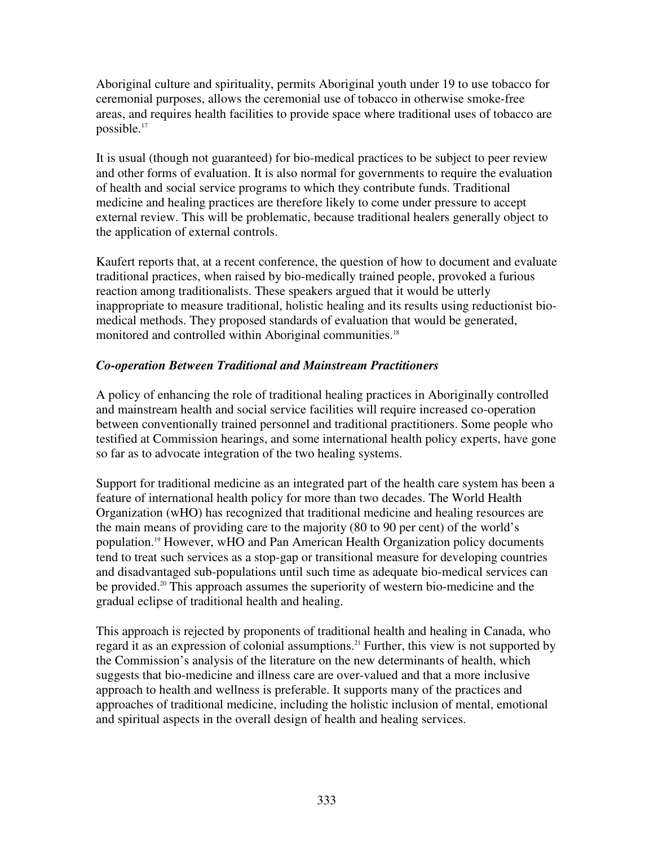Aboriginal culture and spirituality, permits Aboriginal youth under 19 to use tobacco for ceremonial purposes, allows the ceremonial use of tobacco in otherwise smoke-free areas, and requires health facilities to provide space where traditional uses of tobacco are possible. 17

It is usual (though not guaranteed) for bio-medical practices to be subject to peer review and other forms of evaluation. It is also normal for governments to require the evaluation of health and social service programs to which they contribute funds. Traditional medicine and healing practices are therefore likely to come under pressure to accept external review. This will be problematic, because traditional healers generally object to the application of external controls.

Kaufert reports that, at a recent conference, the question of how to document and evaluate traditional practices, when raised by bio-medically trained people, provoked a furious reaction among traditionalists. These speakers argued that it would be utterly inappropriate to measure traditional, holistic healing and its results using reductionist biomedical methods. They proposed standards of evaluation that would be generated, monitored and controlled within Aboriginal communities.<sup>18</sup>

## *Co-operation Between Traditional and Mainstream Practitioners*

A policy of enhancing the role of traditional healing practices in Aboriginally controlled and mainstream health and social service facilities will require increased co-operation between conventionally trained personnel and traditional practitioners. Some people who testified at Commission hearings, and some international health policy experts, have gone so far as to advocate integration of the two healing systems.

Support for traditional medicine as an integrated part of the health care system has been a feature of international health policy for more than two decades. The World Health Organization (wHO) has recognized that traditional medicine and healing resources are the main means of providing care to the majority (80 to 90 per cent) of the world's population. <sup>19</sup> However, wHO and Pan American Health Organization policy documents tend to treat such services as a stop-gap or transitional measure for developing countries and disadvantaged sub-populations until such time as adequate bio-medical services can be provided. <sup>20</sup> This approach assumes the superiority of western bio-medicine and the gradual eclipse of traditional health and healing.

This approach is rejected by proponents of traditional health and healing in Canada, who regard it as an expression of colonial assumptions. <sup>21</sup> Further, this view is not supported by the Commission's analysis of the literature on the new determinants of health, which suggests that bio-medicine and illness care are over-valued and that a more inclusive approach to health and wellness is preferable. It supports many of the practices and approaches of traditional medicine, including the holistic inclusion of mental, emotional and spiritual aspects in the overall design of health and healing services.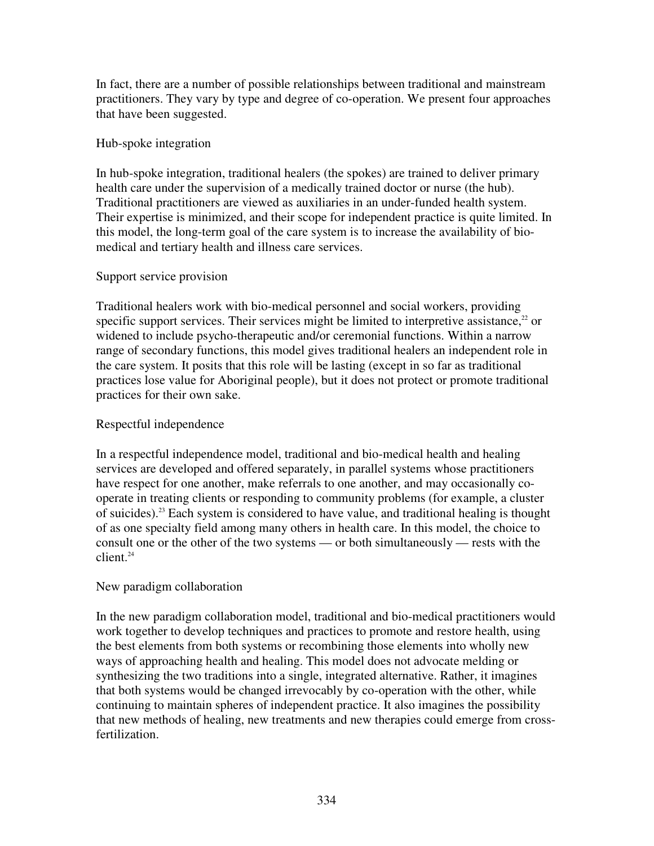In fact, there are a number of possible relationships between traditional and mainstream practitioners. They vary by type and degree of co-operation. We present four approaches that have been suggested.

#### Hub-spoke integration

In hub-spoke integration, traditional healers (the spokes) are trained to deliver primary health care under the supervision of a medically trained doctor or nurse (the hub). Traditional practitioners are viewed as auxiliaries in an under-funded health system. Their expertise is minimized, and their scope for independent practice is quite limited. In this model, the long-term goal of the care system is to increase the availability of biomedical and tertiary health and illness care services.

#### Support service provision

Traditional healers work with bio-medical personnel and social workers, providing specific support services. Their services might be limited to interpretive assistance, $22$  or widened to include psycho-therapeutic and/or ceremonial functions. Within a narrow range of secondary functions, this model gives traditional healers an independent role in the care system. It posits that this role will be lasting (except in so far as traditional practices lose value for Aboriginal people), but it does not protect or promote traditional practices for their own sake.

#### Respectful independence

In a respectful independence model, traditional and bio-medical health and healing services are developed and offered separately, in parallel systems whose practitioners have respect for one another, make referrals to one another, and may occasionally cooperate in treating clients or responding to community problems (for example, a cluster of suicides). <sup>23</sup> Each system is considered to have value, and traditional healing is thought of as one specialty field among many others in health care. In this model, the choice to consult one or the other of the two systems — or both simultaneously — rests with the client. 24

## New paradigm collaboration

In the new paradigm collaboration model, traditional and bio-medical practitioners would work together to develop techniques and practices to promote and restore health, using the best elements from both systems or recombining those elements into wholly new ways of approaching health and healing. This model does not advocate melding or synthesizing the two traditions into a single, integrated alternative. Rather, it imagines that both systems would be changed irrevocably by co-operation with the other, while continuing to maintain spheres of independent practice. It also imagines the possibility that new methods of healing, new treatments and new therapies could emerge from crossfertilization.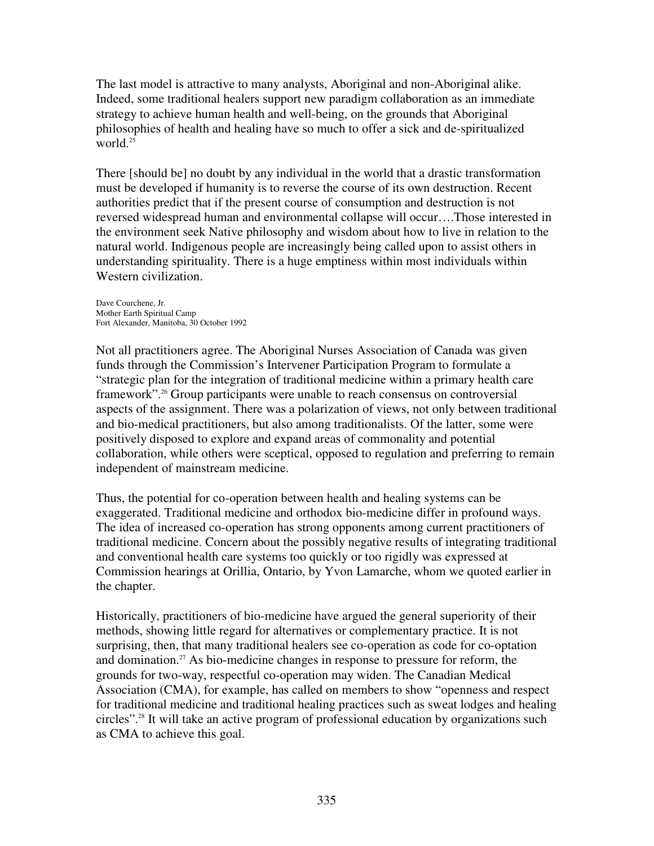The last model is attractive to many analysts, Aboriginal and non-Aboriginal alike. Indeed, some traditional healers support new paradigm collaboration as an immediate strategy to achieve human health and well-being, on the grounds that Aboriginal philosophies of health and healing have so much to offer a sick and de-spiritualized world. 25

There [should be] no doubt by any individual in the world that a drastic transformation must be developed if humanity is to reverse the course of its own destruction. Recent authorities predict that if the present course of consumption and destruction is not reversed widespread human and environmental collapse will occur….Those interested in the environment seek Native philosophy and wisdom about how to live in relation to the natural world. Indigenous people are increasingly being called upon to assist others in understanding spirituality. There is a huge emptiness within most individuals within Western civilization.

Dave Courchene, Jr. Mother Earth Spiritual Camp Fort Alexander, Manitoba, 30 October 1992

Not all practitioners agree. The Aboriginal Nurses Association of Canada was given funds through the Commission's Intervener Participation Program to formulate a "strategic plan for the integration of traditional medicine within a primary health care framework". <sup>26</sup> Group participants were unable to reach consensus on controversial aspects of the assignment. There was a polarization of views, not only between traditional and bio-medical practitioners, but also among traditionalists. Of the latter, some were positively disposed to explore and expand areas of commonality and potential collaboration, while others were sceptical, opposed to regulation and preferring to remain independent of mainstream medicine.

Thus, the potential for co-operation between health and healing systems can be exaggerated. Traditional medicine and orthodox bio-medicine differ in profound ways. The idea of increased co-operation has strong opponents among current practitioners of traditional medicine. Concern about the possibly negative results of integrating traditional and conventional health care systems too quickly or too rigidly was expressed at Commission hearings at Orillia, Ontario, by Yvon Lamarche, whom we quoted earlier in the chapter.

Historically, practitioners of bio-medicine have argued the general superiority of their methods, showing little regard for alternatives or complementary practice. It is not surprising, then, that many traditional healers see co-operation as code for co-optation and domination. <sup>27</sup> As bio-medicine changes in response to pressure for reform, the grounds for two-way, respectful co-operation may widen. The Canadian Medical Association (CMA), for example, has called on members to show "openness and respect for traditional medicine and traditional healing practices such as sweat lodges and healing circles". 28 It will take an active program of professional education by organizations such as CMA to achieve this goal.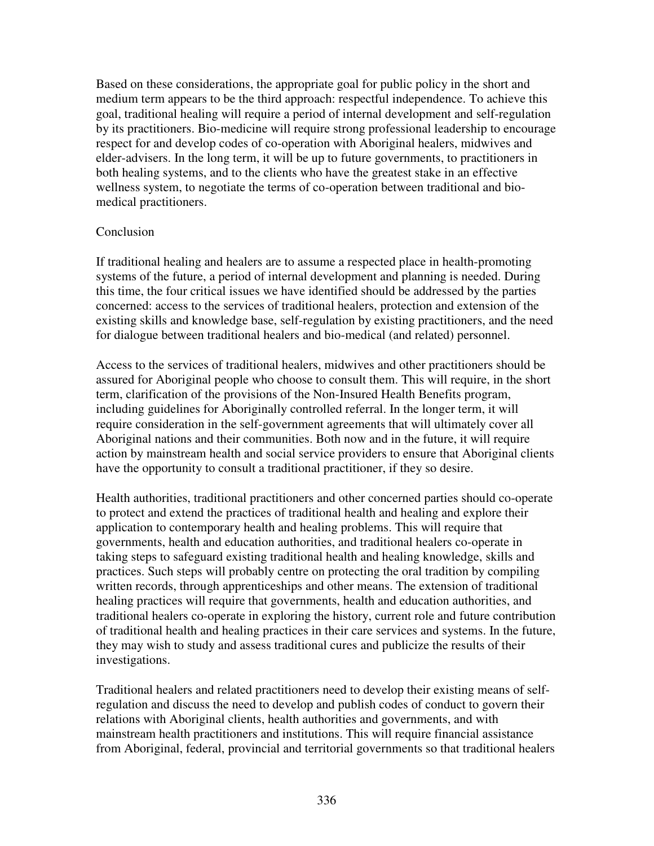Based on these considerations, the appropriate goal for public policy in the short and medium term appears to be the third approach: respectful independence. To achieve this goal, traditional healing will require a period of internal development and self-regulation by its practitioners. Bio-medicine will require strong professional leadership to encourage respect for and develop codes of co-operation with Aboriginal healers, midwives and elder-advisers. In the long term, it will be up to future governments, to practitioners in both healing systems, and to the clients who have the greatest stake in an effective wellness system, to negotiate the terms of co-operation between traditional and biomedical practitioners.

#### Conclusion

If traditional healing and healers are to assume a respected place in health-promoting systems of the future, a period of internal development and planning is needed. During this time, the four critical issues we have identified should be addressed by the parties concerned: access to the services of traditional healers, protection and extension of the existing skills and knowledge base, self-regulation by existing practitioners, and the need for dialogue between traditional healers and bio-medical (and related) personnel.

Access to the services of traditional healers, midwives and other practitioners should be assured for Aboriginal people who choose to consult them. This will require, in the short term, clarification of the provisions of the Non-Insured Health Benefits program, including guidelines for Aboriginally controlled referral. In the longer term, it will require consideration in the self-government agreements that will ultimately cover all Aboriginal nations and their communities. Both now and in the future, it will require action by mainstream health and social service providers to ensure that Aboriginal clients have the opportunity to consult a traditional practitioner, if they so desire.

Health authorities, traditional practitioners and other concerned parties should co-operate to protect and extend the practices of traditional health and healing and explore their application to contemporary health and healing problems. This will require that governments, health and education authorities, and traditional healers co-operate in taking steps to safeguard existing traditional health and healing knowledge, skills and practices. Such steps will probably centre on protecting the oral tradition by compiling written records, through apprenticeships and other means. The extension of traditional healing practices will require that governments, health and education authorities, and traditional healers co-operate in exploring the history, current role and future contribution of traditional health and healing practices in their care services and systems. In the future, they may wish to study and assess traditional cures and publicize the results of their investigations.

Traditional healers and related practitioners need to develop their existing means of selfregulation and discuss the need to develop and publish codes of conduct to govern their relations with Aboriginal clients, health authorities and governments, and with mainstream health practitioners and institutions. This will require financial assistance from Aboriginal, federal, provincial and territorial governments so that traditional healers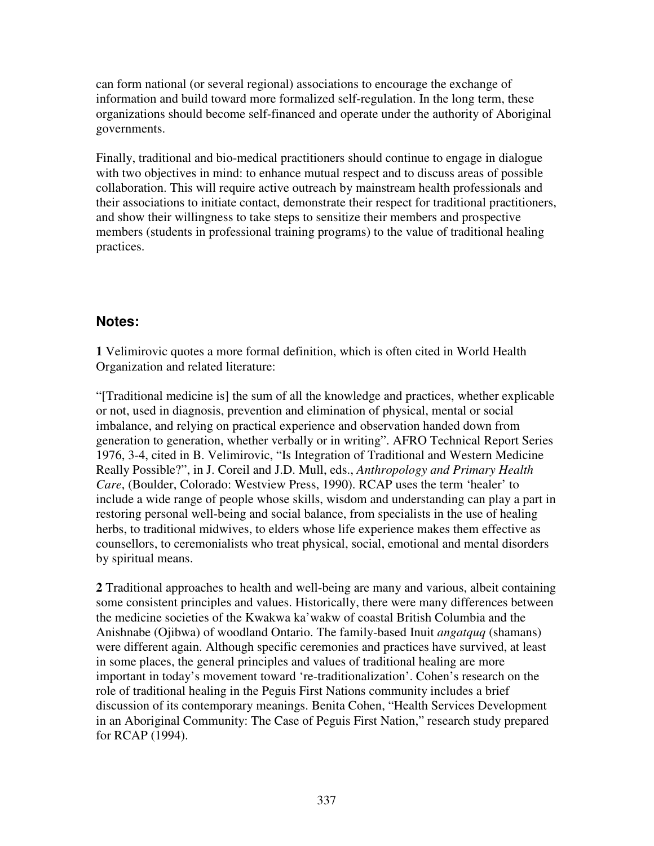can form national (or several regional) associations to encourage the exchange of information and build toward more formalized self-regulation. In the long term, these organizations should become self-financed and operate under the authority of Aboriginal governments.

Finally, traditional and bio-medical practitioners should continue to engage in dialogue with two objectives in mind: to enhance mutual respect and to discuss areas of possible collaboration. This will require active outreach by mainstream health professionals and their associations to initiate contact, demonstrate their respect for traditional practitioners, and show their willingness to take steps to sensitize their members and prospective members (students in professional training programs) to the value of traditional healing practices.

# **Notes:**

**1** Velimirovic quotes a more formal definition, which is often cited in World Health Organization and related literature:

"[Traditional medicine is] the sum of all the knowledge and practices, whether explicable or not, used in diagnosis, prevention and elimination of physical, mental or social imbalance, and relying on practical experience and observation handed down from generation to generation, whether verbally or in writing". AFRO Technical Report Series 1976, 3-4, cited in B. Velimirovic, "Is Integration of Traditional and Western Medicine Really Possible?", in J. Coreil and J.D. Mull, eds., *Anthropology and Primary Health Care*, (Boulder, Colorado: Westview Press, 1990). RCAP uses the term 'healer' to include a wide range of people whose skills, wisdom and understanding can play a part in restoring personal well-being and social balance, from specialists in the use of healing herbs, to traditional midwives, to elders whose life experience makes them effective as counsellors, to ceremonialists who treat physical, social, emotional and mental disorders by spiritual means.

**2** Traditional approaches to health and well-being are many and various, albeit containing some consistent principles and values. Historically, there were many differences between the medicine societies of the Kwakwa ka'wakw of coastal British Columbia and the Anishnabe (Ojibwa) of woodland Ontario. The family-based Inuit *angatquq* (shamans) were different again. Although specific ceremonies and practices have survived, at least in some places, the general principles and values of traditional healing are more important in today's movement toward 're-traditionalization'. Cohen's research on the role of traditional healing in the Peguis First Nations community includes a brief discussion of its contemporary meanings. Benita Cohen, "Health Services Development in an Aboriginal Community: The Case of Peguis First Nation," research study prepared for RCAP (1994).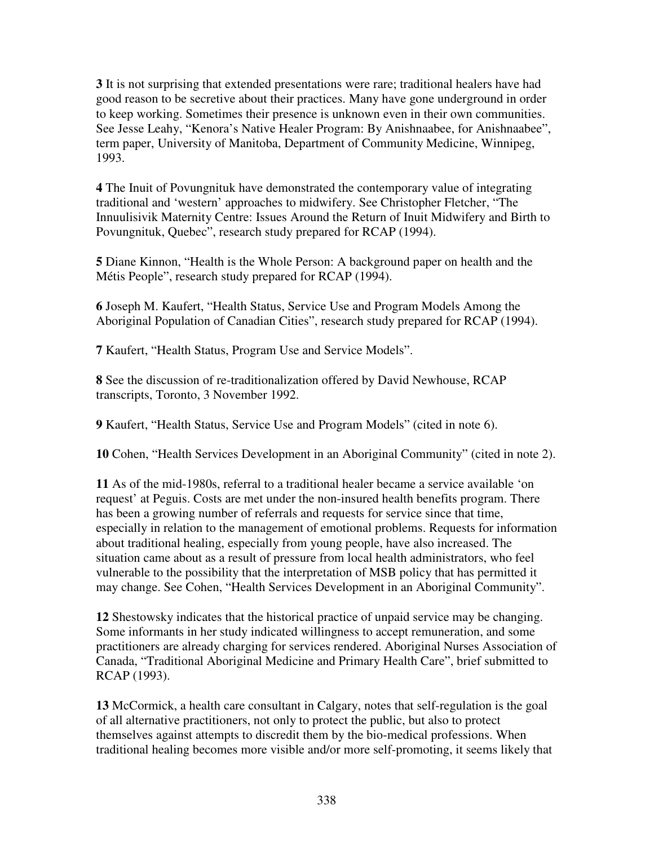**3** It is not surprising that extended presentations were rare; traditional healers have had good reason to be secretive about their practices. Many have gone underground in order to keep working. Sometimes their presence is unknown even in their own communities. See Jesse Leahy, "Kenora's Native Healer Program: By Anishnaabee, for Anishnaabee", term paper, University of Manitoba, Department of Community Medicine, Winnipeg, 1993.

**4** The Inuit of Povungnituk have demonstrated the contemporary value of integrating traditional and 'western' approaches to midwifery. See Christopher Fletcher, "The Innuulisivik Maternity Centre: Issues Around the Return of Inuit Midwifery and Birth to Povungnituk, Quebec", research study prepared for RCAP (1994).

**5** Diane Kinnon, "Health is the Whole Person: A background paper on health and the Métis People", research study prepared for RCAP (1994).

**6** Joseph M. Kaufert, "Health Status, Service Use and Program Models Among the Aboriginal Population of Canadian Cities", research study prepared for RCAP (1994).

**7** Kaufert, "Health Status, Program Use and Service Models".

**8** See the discussion of re-traditionalization offered by David Newhouse, RCAP transcripts, Toronto, 3 November 1992.

**9** Kaufert, "Health Status, Service Use and Program Models" (cited in note 6).

**10** Cohen, "Health Services Development in an Aboriginal Community" (cited in note 2).

**11** As of the mid-1980s, referral to a traditional healer became a service available 'on request' at Peguis. Costs are met under the non-insured health benefits program. There has been a growing number of referrals and requests for service since that time, especially in relation to the management of emotional problems. Requests for information about traditional healing, especially from young people, have also increased. The situation came about as a result of pressure from local health administrators, who feel vulnerable to the possibility that the interpretation of MSB policy that has permitted it may change. See Cohen, "Health Services Development in an Aboriginal Community".

**12** Shestowsky indicates that the historical practice of unpaid service may be changing. Some informants in her study indicated willingness to accept remuneration, and some practitioners are already charging for services rendered. Aboriginal Nurses Association of Canada, "Traditional Aboriginal Medicine and Primary Health Care", brief submitted to RCAP (1993).

**13** McCormick, a health care consultant in Calgary, notes that self-regulation is the goal of all alternative practitioners, not only to protect the public, but also to protect themselves against attempts to discredit them by the bio-medical professions. When traditional healing becomes more visible and/or more self-promoting, it seems likely that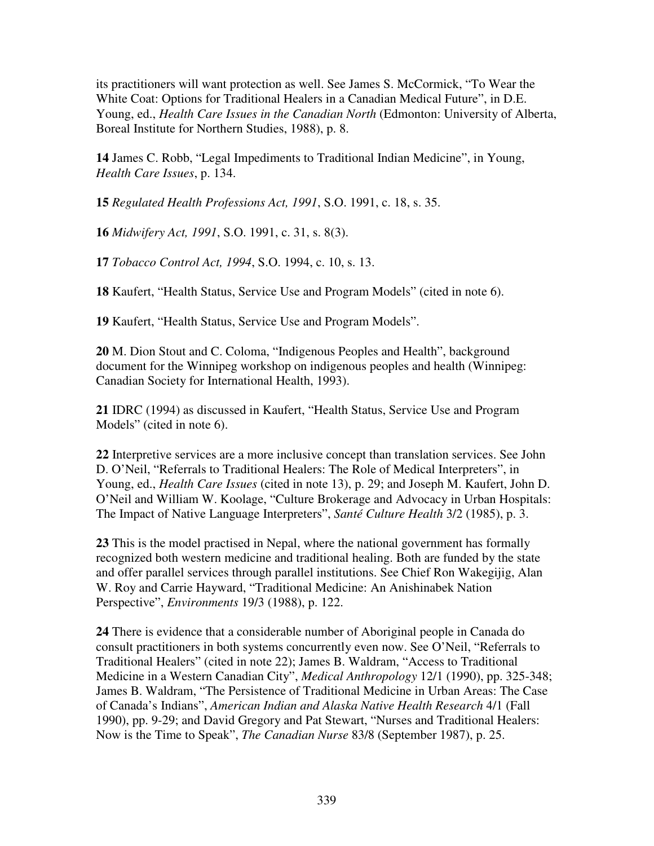its practitioners will want protection as well. See James S. McCormick, "To Wear the White Coat: Options for Traditional Healers in a Canadian Medical Future", in D.E. Young, ed., *Health Care Issues in the Canadian North* (Edmonton: University of Alberta, Boreal Institute for Northern Studies, 1988), p. 8.

**14** James C. Robb, "Legal Impediments to Traditional Indian Medicine", in Young, *Health Care Issues*, p. 134.

**15** *Regulated Health Professions Act, 1991*, S.O. 1991, c. 18, s. 35.

**16** *Midwifery Act, 1991*, S.O. 1991, c. 31, s. 8(3).

**17** *Tobacco Control Act, 1994*, S.O. 1994, c. 10, s. 13.

**18** Kaufert, "Health Status, Service Use and Program Models" (cited in note 6).

**19** Kaufert, "Health Status, Service Use and Program Models".

**20** M. Dion Stout and C. Coloma, "Indigenous Peoples and Health", background document for the Winnipeg workshop on indigenous peoples and health (Winnipeg: Canadian Society for International Health, 1993).

**21** IDRC (1994) as discussed in Kaufert, "Health Status, Service Use and Program Models" (cited in note 6).

**22** Interpretive services are a more inclusive concept than translation services. See John D. O'Neil, "Referrals to Traditional Healers: The Role of Medical Interpreters", in Young, ed., *Health Care Issues* (cited in note 13), p. 29; and Joseph M. Kaufert, John D. O'Neil and William W. Koolage, "Culture Brokerage and Advocacy in Urban Hospitals: The Impact of Native Language Interpreters", *Santé Culture Health* 3/2 (1985), p. 3.

**23** This is the model practised in Nepal, where the national government has formally recognized both western medicine and traditional healing. Both are funded by the state and offer parallel services through parallel institutions. See Chief Ron Wakegijig, Alan W. Roy and Carrie Hayward, "Traditional Medicine: An Anishinabek Nation Perspective", *Environments* 19/3 (1988), p. 122.

**24** There is evidence that a considerable number of Aboriginal people in Canada do consult practitioners in both systems concurrently even now. See O'Neil, "Referrals to Traditional Healers" (cited in note 22); James B. Waldram, "Access to Traditional Medicine in a Western Canadian City", *Medical Anthropology* 12/1 (1990), pp. 325-348; James B. Waldram, "The Persistence of Traditional Medicine in Urban Areas: The Case of Canada's Indians", *American Indian and Alaska Native Health Research* 4/1 (Fall 1990), pp. 9-29; and David Gregory and Pat Stewart, "Nurses and Traditional Healers: Now is the Time to Speak", *The Canadian Nurse* 83/8 (September 1987), p. 25.